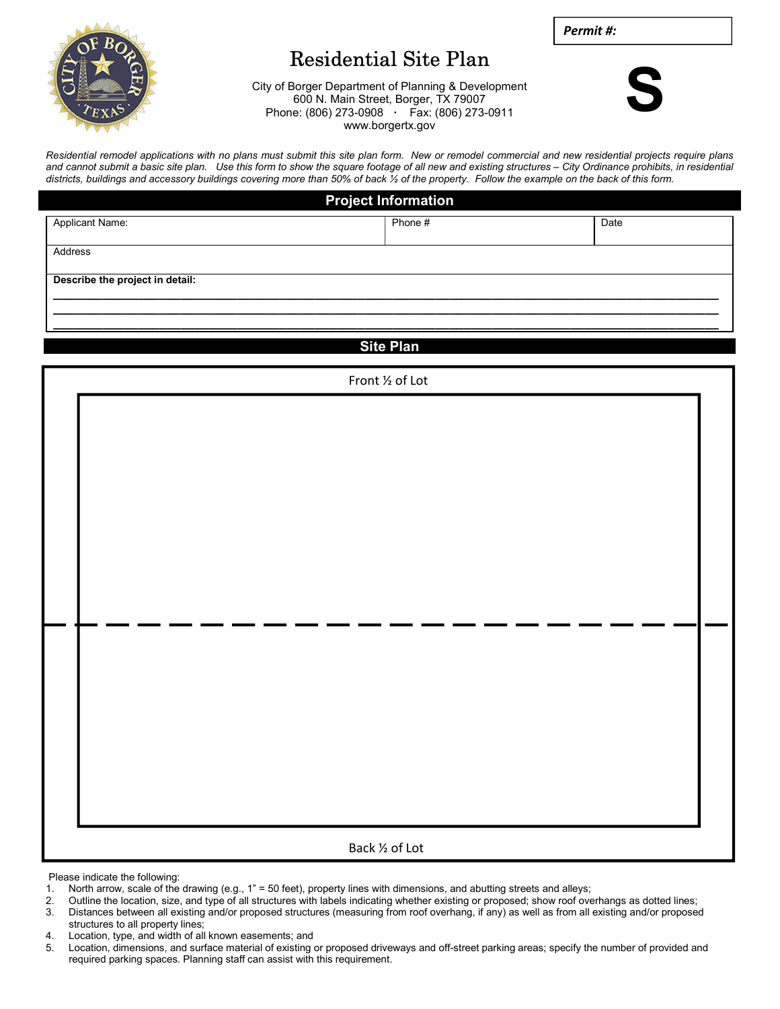

## Residential Site Plan

Permit #:

City of Borger Department of Planning & Development 600 N. Main Street, Borger, TX 79007 Phone: (806) 273-0908 · Fax: (806) 273-0911 www.borgertx.gov



Residential remodel applications with no plans must submit this site plan form. New or remodel commercial and new residential projects require plans and cannot submit a basic site plan. Use this form to show the square footage of all new and existing structures – City Ordinance prohibits, in residential districts, buildings and accessory buildings covering more than 50% of back ½ of the property. Follow the example on the back of this form.

| <b>Project Information</b>      |         |      |  |  |  |  |
|---------------------------------|---------|------|--|--|--|--|
| <b>Applicant Name:</b>          | Phone # | Date |  |  |  |  |
| Address                         |         |      |  |  |  |  |
| Describe the project in detail: |         |      |  |  |  |  |
|                                 |         |      |  |  |  |  |
|                                 |         |      |  |  |  |  |

Site Plan

| Front 1/2 of Lot |  |  |  |  |
|------------------|--|--|--|--|
|                  |  |  |  |  |
|                  |  |  |  |  |
|                  |  |  |  |  |
|                  |  |  |  |  |
|                  |  |  |  |  |
|                  |  |  |  |  |
|                  |  |  |  |  |
|                  |  |  |  |  |
|                  |  |  |  |  |
|                  |  |  |  |  |
|                  |  |  |  |  |
|                  |  |  |  |  |
|                  |  |  |  |  |
|                  |  |  |  |  |
|                  |  |  |  |  |
|                  |  |  |  |  |
|                  |  |  |  |  |
|                  |  |  |  |  |
| Back 1/2 of Lot  |  |  |  |  |

Please indicate the following:

- 1. North arrow, scale of the drawing (e.g., 1" = 50 feet), property lines with dimensions, and abutting streets and alleys;
- 2. Outline the location, size, and type of all structures with labels indicating whether existing or proposed; show roof overhangs as dotted lines;
- 3. Distances between all existing and/or proposed structures (measuring from roof overhang, if any) as well as from all existing and/or proposed structures to all property lines;
- 4. Location, type, and width of all known easements; and
- 5. Location, dimensions, and surface material of existing or proposed driveways and off-street parking areas; specify the number of provided and required parking spaces. Planning staff can assist with this requirement.